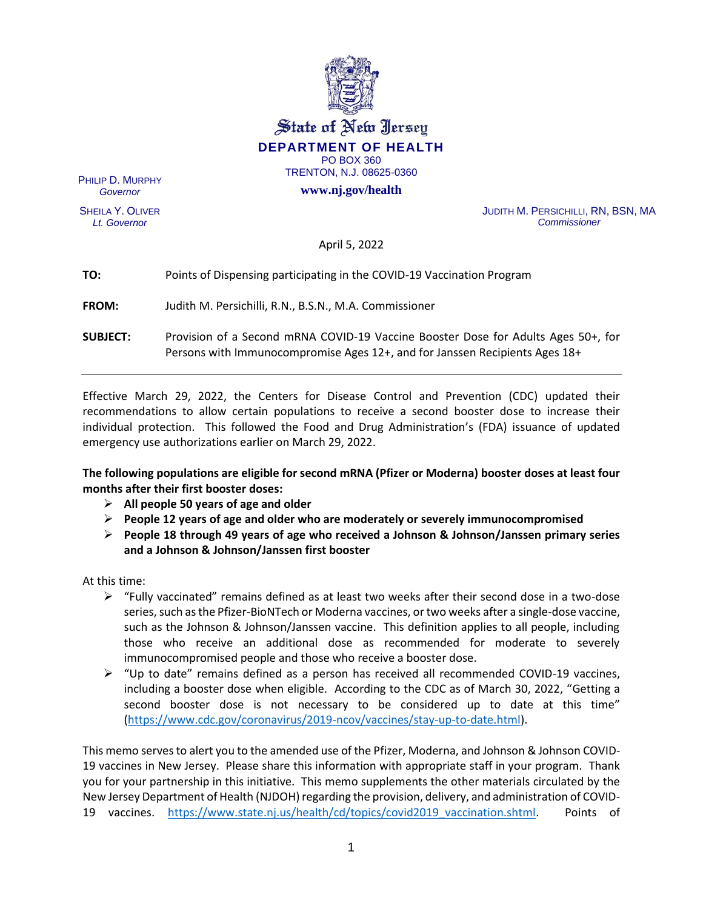

State of New Jersey **DEPARTMENT OF HEALTH** PO BOX 360

TRENTON, N.J. 08625-0360

**www.nj.gov/health**

PHILIP D. MURPHY *Governor*

SHEILA Y. OLIVER *Lt. Governor*

JUDITH M. PERSICHILLI, RN, BSN, MA *Commissioner*

April 5, 2022

# **TO:** Points of Dispensing participating in the COVID-19 Vaccination Program

**FROM:** Judith M. Persichilli, R.N., B.S.N., M.A. Commissioner

**SUBJECT:** Provision of a Second mRNA COVID-19 Vaccine Booster Dose for Adults Ages 50+, for Persons with Immunocompromise Ages 12+, and for Janssen Recipients Ages 18+

Effective March 29, 2022, the Centers for Disease Control and Prevention (CDC) updated their recommendations to allow certain populations to receive a second booster dose to increase their individual protection. This followed the Food and Drug Administration's (FDA) issuance of updated emergency use authorizations earlier on March 29, 2022.

**The following populations are eligible for second mRNA (Pfizer or Moderna) booster doses at least four months after their first booster doses:**

- ➢ **All people 50 years of age and older**
- ➢ **People 12 years of age and older who are moderately or severely immunocompromised**
- ➢ **People 18 through 49 years of age who received a Johnson & Johnson/Janssen primary series and a Johnson & Johnson/Janssen first booster**

At this time:

- $\triangleright$  "Fully vaccinated" remains defined as at least two weeks after their second dose in a two-dose series, such as the Pfizer-BioNTech or Moderna vaccines, or two weeks after a single-dose vaccine, such as the Johnson & Johnson/Janssen vaccine. This definition applies to all people, including those who receive an additional dose as recommended for moderate to severely immunocompromised people and those who receive a booster dose.
- $\triangleright$  "Up to date" remains defined as a person has received all recommended COVID-19 vaccines, including a booster dose when eligible. According to the CDC as of March 30, 2022, "Getting a second booster dose is not necessary to be considered up to date at this time" [\(https://www.cdc.gov/coronavirus/2019-ncov/vaccines/stay-up-to-date.html\)](https://www.cdc.gov/coronavirus/2019-ncov/vaccines/stay-up-to-date.html).

This memo serves to alert you to the amended use of the Pfizer, Moderna, and Johnson & Johnson COVID-19 vaccines in New Jersey. Please share this information with appropriate staff in your program.Thank you for your partnership in this initiative. This memo supplements the other materials circulated by the New Jersey Department of Health (NJDOH) regarding the provision, delivery, and administration of COVID-19 vaccines. [https://www.state.nj.us/health/cd/topics/covid2019\\_vaccination.shtml.](https://www.state.nj.us/health/cd/topics/covid2019_vaccination.shtml) Points of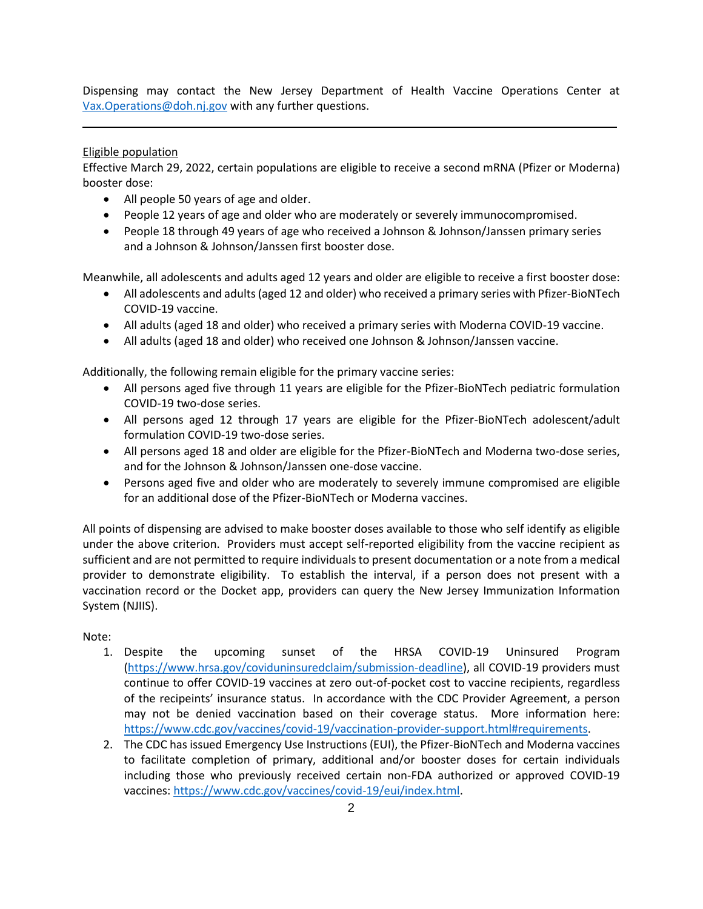Dispensing may contact the New Jersey Department of Health Vaccine Operations Center at [Vax.Operations@doh.nj.gov](mailto:Vax.Operations@doh.nj.gov) with any further questions.

\_\_\_\_\_\_\_\_\_\_\_\_\_\_\_\_\_\_\_\_\_\_\_\_\_\_\_\_\_\_\_\_\_\_\_\_\_\_\_\_\_\_\_\_\_\_\_\_\_\_\_\_\_\_\_\_\_\_\_\_\_\_\_\_\_\_\_\_\_\_\_\_\_\_\_\_\_\_\_\_\_\_\_\_\_

## Eligible population

Effective March 29, 2022, certain populations are eligible to receive a second mRNA (Pfizer or Moderna) booster dose:

- All people 50 years of age and older.
- People 12 years of age and older who are moderately or severely immunocompromised.
- People 18 through 49 years of age who received a Johnson & Johnson/Janssen primary series and a Johnson & Johnson/Janssen first booster dose.

Meanwhile, all adolescents and adults aged 12 years and older are eligible to receive a first booster dose:

- All adolescents and adults (aged 12 and older) who received a primary series with Pfizer-BioNTech COVID-19 vaccine.
- All adults (aged 18 and older) who received a primary series with Moderna COVID-19 vaccine.
- All adults (aged 18 and older) who received one Johnson & Johnson/Janssen vaccine.

Additionally, the following remain eligible for the primary vaccine series:

- All persons aged five through 11 years are eligible for the Pfizer-BioNTech pediatric formulation COVID-19 two-dose series.
- All persons aged 12 through 17 years are eligible for the Pfizer-BioNTech adolescent/adult formulation COVID-19 two-dose series.
- All persons aged 18 and older are eligible for the Pfizer-BioNTech and Moderna two-dose series, and for the Johnson & Johnson/Janssen one-dose vaccine.
- Persons aged five and older who are moderately to severely immune compromised are eligible for an additional dose of the Pfizer-BioNTech or Moderna vaccines.

All points of dispensing are advised to make booster doses available to those who self identify as eligible under the above criterion. Providers must accept self-reported eligibility from the vaccine recipient as sufficient and are not permitted to require individuals to present documentation or a note from a medical provider to demonstrate eligibility. To establish the interval, if a person does not present with a vaccination record or the Docket app, providers can query the New Jersey Immunization Information System (NJIIS).

Note:

- 1. Despite the upcoming sunset of the HRSA COVID-19 Uninsured Program [\(https://www.hrsa.gov/coviduninsuredclaim/submission-deadline\)](https://www.hrsa.gov/coviduninsuredclaim/submission-deadline), all COVID-19 providers must continue to offer COVID-19 vaccines at zero out-of-pocket cost to vaccine recipients, regardless of the recipeints' insurance status. In accordance with the CDC Provider Agreement, a person may not be denied vaccination based on their coverage status. More information here: [https://www.cdc.gov/vaccines/covid-19/vaccination-provider-support.html#requirements.](https://www.cdc.gov/vaccines/covid-19/vaccination-provider-support.html#requirements)
- 2. The CDC has issued Emergency Use Instructions (EUI), the Pfizer-BioNTech and Moderna vaccines to facilitate completion of primary, additional and/or booster doses for certain individuals including those who previously received certain non-FDA authorized or approved COVID-19 vaccines: [https://www.cdc.gov/vaccines/covid-19/eui/index.html.](https://www.cdc.gov/vaccines/covid-19/eui/index.html)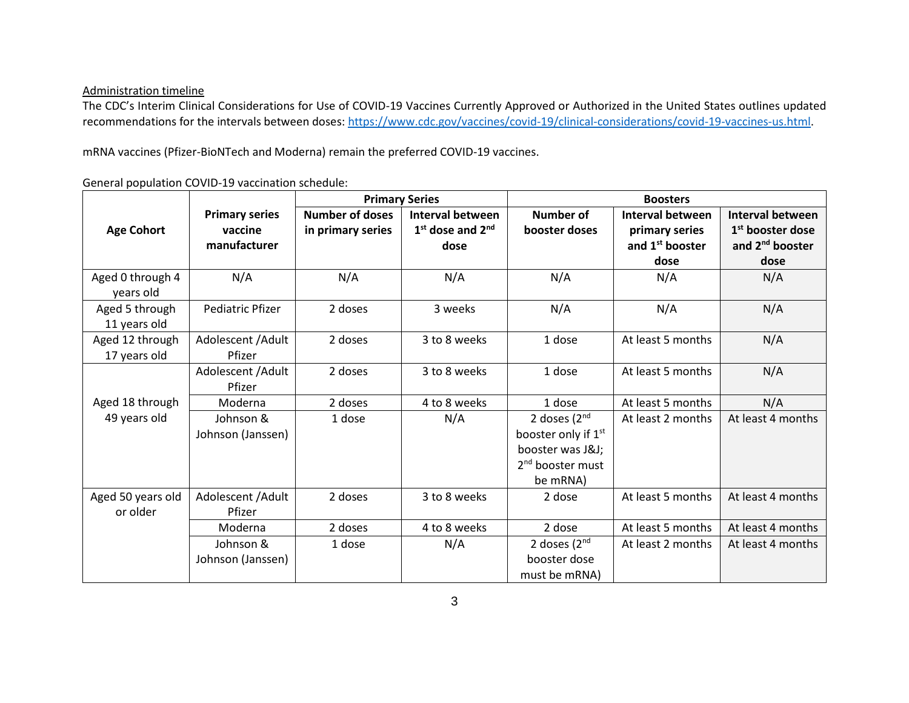#### Administration timeline

The CDC's Interim Clinical Considerations for Use of COVID-19 Vaccines Currently Approved or Authorized in the United States outlines updated recommendations for the intervals between doses: [https://www.cdc.gov/vaccines/covid-19/clinical-considerations/covid-19-vaccines-us.html.](https://www.cdc.gov/vaccines/covid-19/clinical-considerations/covid-19-vaccines-us.html)

mRNA vaccines (Pfizer-BioNTech and Moderna) remain the preferred COVID-19 vaccines.

General population COVID-19 vaccination schedule:

|                   |                       | <b>Primary Series</b>  |                         | <b>Boosters</b>                 |                             |                              |  |
|-------------------|-----------------------|------------------------|-------------------------|---------------------------------|-----------------------------|------------------------------|--|
|                   | <b>Primary series</b> | <b>Number of doses</b> | <b>Interval between</b> | Number of                       | <b>Interval between</b>     | Interval between             |  |
| <b>Age Cohort</b> | vaccine               | in primary series      | $1st$ dose and $2nd$    | booster doses                   | primary series              | 1 <sup>st</sup> booster dose |  |
|                   | manufacturer          |                        | dose                    |                                 | and 1 <sup>st</sup> booster | and 2 <sup>nd</sup> booster  |  |
|                   |                       |                        |                         |                                 | dose                        | dose                         |  |
| Aged 0 through 4  | N/A                   | N/A                    | N/A                     | N/A                             | N/A                         | N/A                          |  |
| years old         |                       |                        |                         |                                 |                             |                              |  |
| Aged 5 through    | Pediatric Pfizer      | 2 doses                | 3 weeks                 | N/A                             | N/A                         | N/A                          |  |
| 11 years old      |                       |                        |                         |                                 |                             |                              |  |
| Aged 12 through   | Adolescent / Adult    | 2 doses                | 3 to 8 weeks            | 1 dose                          | At least 5 months           | N/A                          |  |
| 17 years old      | Pfizer                |                        |                         |                                 |                             |                              |  |
|                   | Adolescent / Adult    | 2 doses                | 3 to 8 weeks            | 1 dose                          | At least 5 months           | N/A                          |  |
|                   | Pfizer                |                        |                         |                                 |                             |                              |  |
| Aged 18 through   | Moderna               | 2 doses                | 4 to 8 weeks            | 1 dose                          | At least 5 months           | N/A                          |  |
| 49 years old      | Johnson &             | 1 dose                 | N/A                     | 2 doses $(2nd$                  | At least 2 months           | At least 4 months            |  |
|                   | Johnson (Janssen)     |                        |                         | booster only if 1 <sup>st</sup> |                             |                              |  |
|                   |                       |                        |                         | booster was J&J                 |                             |                              |  |
|                   |                       |                        |                         | 2 <sup>nd</sup> booster must    |                             |                              |  |
|                   |                       |                        |                         | be mRNA)                        |                             |                              |  |
| Aged 50 years old | Adolescent / Adult    | 2 doses                | 3 to 8 weeks            | 2 dose                          | At least 5 months           | At least 4 months            |  |
| or older          | Pfizer                |                        |                         |                                 |                             |                              |  |
|                   | Moderna               | 2 doses                | 4 to 8 weeks            | 2 dose                          | At least 5 months           | At least 4 months            |  |
|                   | Johnson &             | 1 dose                 | N/A                     | 2 doses $(2nd$                  | At least 2 months           | At least 4 months            |  |
|                   | Johnson (Janssen)     |                        |                         | booster dose                    |                             |                              |  |
|                   |                       |                        |                         | must be mRNA)                   |                             |                              |  |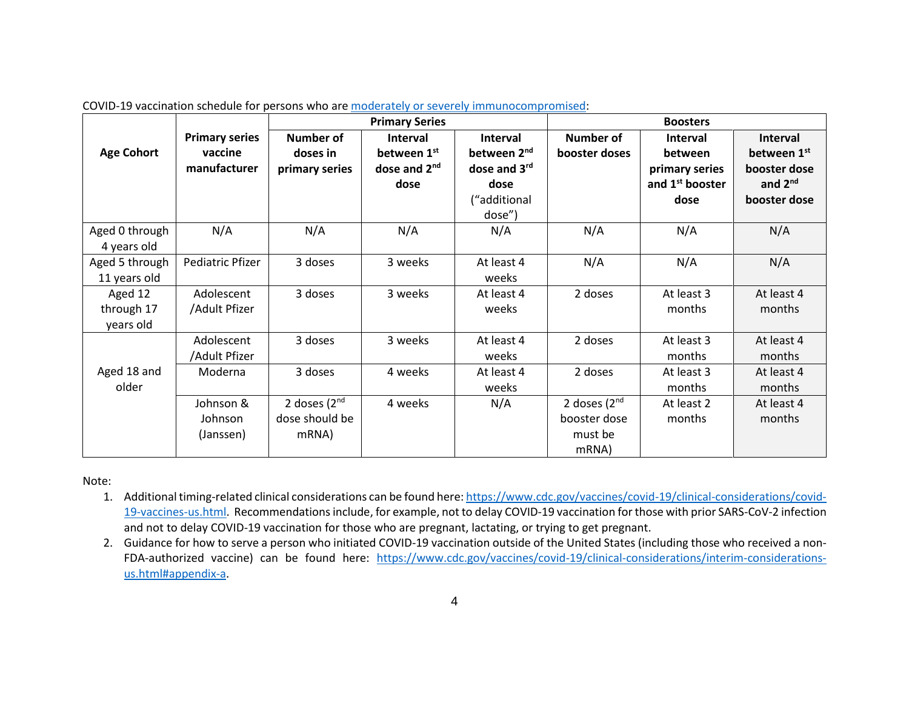|                   |                       | <b>Primary Series</b> |                          |                         | <b>Boosters</b>  |                             |                     |  |
|-------------------|-----------------------|-----------------------|--------------------------|-------------------------|------------------|-----------------------------|---------------------|--|
|                   | <b>Primary series</b> | <b>Number of</b>      | Interval                 | <b>Interval</b>         | <b>Number of</b> | <b>Interval</b>             | Interval            |  |
| <b>Age Cohort</b> | vaccine               | doses in              | between 1st              | between 2 <sup>nd</sup> | booster doses    | between                     | between 1st         |  |
|                   | manufacturer          | primary series        | dose and 2 <sup>nd</sup> | dose and 3rd            |                  | primary series              | booster dose        |  |
|                   |                       |                       | dose                     | dose                    |                  | and 1 <sup>st</sup> booster | and 2 <sup>nd</sup> |  |
|                   |                       |                       |                          | ("additional            |                  | dose                        | booster dose        |  |
|                   |                       |                       |                          | dose")                  |                  |                             |                     |  |
| Aged 0 through    | N/A                   | N/A                   | N/A                      | N/A                     | N/A              | N/A                         | N/A                 |  |
| 4 years old       |                       |                       |                          |                         |                  |                             |                     |  |
| Aged 5 through    | Pediatric Pfizer      | 3 doses               | 3 weeks                  | At least 4              | N/A              | N/A                         | N/A                 |  |
| 11 years old      |                       |                       |                          | weeks                   |                  |                             |                     |  |
| Aged 12           | Adolescent            | 3 doses               | 3 weeks                  | At least 4              | 2 doses          | At least 3                  | At least 4          |  |
| through 17        | /Adult Pfizer         |                       |                          | weeks                   |                  | months                      | months              |  |
| years old         |                       |                       |                          |                         |                  |                             |                     |  |
|                   | Adolescent            | 3 doses               | 3 weeks                  | At least 4              | 2 doses          | At least 3                  | At least 4          |  |
|                   | /Adult Pfizer         |                       |                          | weeks                   |                  | months                      | months              |  |
| Aged 18 and       | Moderna               | 3 doses               | 4 weeks                  | At least 4              | 2 doses          | At least 3                  | At least 4          |  |
| older             |                       |                       |                          | weeks                   |                  | months                      | months              |  |
|                   | Johnson &             | 2 doses $(2nd$        | 4 weeks                  | N/A                     | 2 doses $(2nd$   | At least 2                  | At least 4          |  |
|                   | Johnson               | dose should be        |                          |                         | booster dose     | months                      | months              |  |
|                   | (Janssen)             | mRNA)                 |                          |                         | must be          |                             |                     |  |
|                   |                       |                       |                          |                         | mRNA)            |                             |                     |  |

COVID-19 vaccination schedule for persons who are [moderately or severely immunocompromised:](https://www.cdc.gov/coronavirus/2019-ncov/vaccines/recommendations/immuno.html)

Note:

- 1. Additional timing-related clinical considerations can be found here: [https://www.cdc.gov/vaccines/covid-19/clinical-considerations/covid-](https://www.cdc.gov/vaccines/covid-19/clinical-considerations/covid-19-vaccines-us.html)[19-vaccines-us.html.](https://www.cdc.gov/vaccines/covid-19/clinical-considerations/covid-19-vaccines-us.html) Recommendations include, for example, not to delay COVID-19 vaccination for those with prior SARS-CoV-2 infection and not to delay COVID-19 vaccination for those who are pregnant, lactating, or trying to get pregnant.
- 2. Guidance for how to serve a person who initiated COVID-19 vaccination outside of the United States (including those who received a non-FDA-authorized vaccine) can be found here: [https://www.cdc.gov/vaccines/covid-19/clinical-considerations/interim-considerations](https://www.cdc.gov/vaccines/covid-19/clinical-considerations/interim-considerations-us.html#appendix-a)[us.html#appendix-a.](https://www.cdc.gov/vaccines/covid-19/clinical-considerations/interim-considerations-us.html#appendix-a)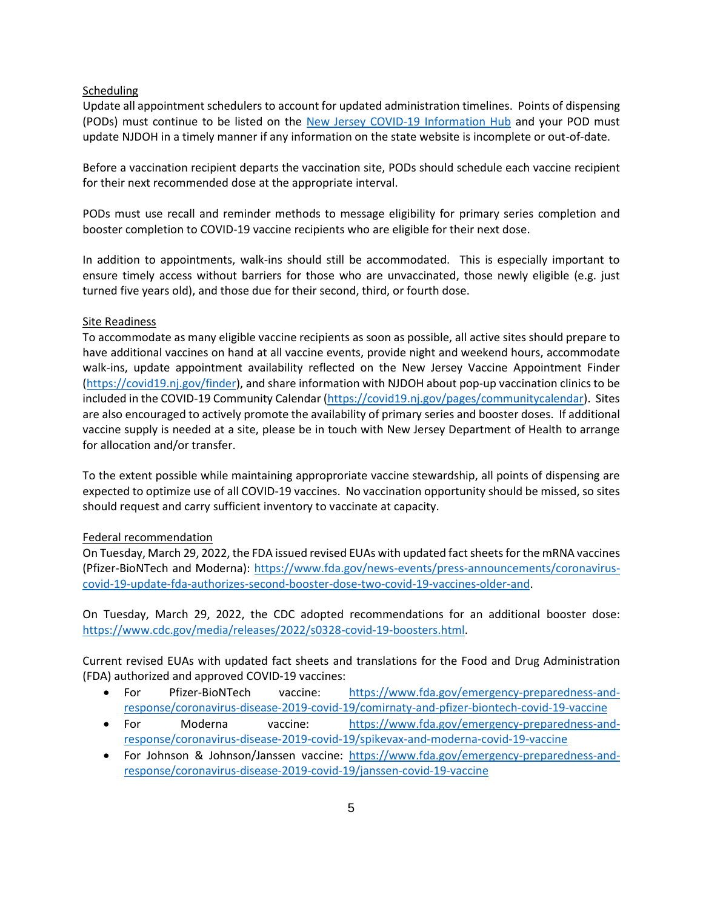#### Scheduling

Update all appointment schedulers to account for updated administration timelines. Points of dispensing (PODs) must continue to be listed on the [New Jersey COVID-19 Information Hub](https://covid19.nj.gov/pages/covid-19-vaccine-locations-for-eligible-recipients) and your POD must update NJDOH in a timely manner if any information on the state website is incomplete or out-of-date.

Before a vaccination recipient departs the vaccination site, PODs should schedule each vaccine recipient for their next recommended dose at the appropriate interval.

PODs must use recall and reminder methods to message eligibility for primary series completion and booster completion to COVID-19 vaccine recipients who are eligible for their next dose.

In addition to appointments, walk-ins should still be accommodated. This is especially important to ensure timely access without barriers for those who are unvaccinated, those newly eligible (e.g. just turned five years old), and those due for their second, third, or fourth dose.

#### Site Readiness

To accommodate as many eligible vaccine recipients as soon as possible, all active sites should prepare to have additional vaccines on hand at all vaccine events, provide night and weekend hours, accommodate walk-ins, update appointment availability reflected on the New Jersey Vaccine Appointment Finder [\(https://covid19.nj.gov/finder\)](https://covid19.nj.gov/finder), and share information with NJDOH about pop-up vaccination clinics to be included in the COVID-19 Community Calendar [\(https://covid19.nj.gov/pages/communitycalendar\)](https://covid19.nj.gov/pages/communitycalendar). Sites are also encouraged to actively promote the availability of primary series and booster doses. If additional vaccine supply is needed at a site, please be in touch with New Jersey Department of Health to arrange for allocation and/or transfer.

To the extent possible while maintaining approproriate vaccine stewardship, all points of dispensing are expected to optimize use of all COVID-19 vaccines. No vaccination opportunity should be missed, so sites should request and carry sufficient inventory to vaccinate at capacity.

## Federal recommendation

On Tuesday, March 29, 2022, the FDA issued revised EUAs with updated fact sheets for the mRNA vaccines (Pfizer-BioNTech and Moderna): [https://www.fda.gov/news-events/press-announcements/coronavirus](https://www.fda.gov/news-events/press-announcements/coronavirus-covid-19-update-fda-authorizes-second-booster-dose-two-covid-19-vaccines-older-and)[covid-19-update-fda-authorizes-second-booster-dose-two-covid-19-vaccines-older-and.](https://www.fda.gov/news-events/press-announcements/coronavirus-covid-19-update-fda-authorizes-second-booster-dose-two-covid-19-vaccines-older-and)

On Tuesday, March 29, 2022, the CDC adopted recommendations for an additional booster dose: [https://www.cdc.gov/media/releases/2022/s0328-covid-19-boosters.html.](https://www.cdc.gov/media/releases/2022/s0328-covid-19-boosters.html)

Current revised EUAs with updated fact sheets and translations for the Food and Drug Administration (FDA) authorized and approved COVID-19 vaccines:

- For Pfizer-BioNTech vaccine: [https://www.fda.gov/emergency-preparedness-and](https://www.fda.gov/emergency-preparedness-and-response/coronavirus-disease-2019-covid-19/comirnaty-and-pfizer-biontech-covid-19-vaccine)[response/coronavirus-disease-2019-covid-19/comirnaty-and-pfizer-biontech-covid-19-vaccine](https://www.fda.gov/emergency-preparedness-and-response/coronavirus-disease-2019-covid-19/comirnaty-and-pfizer-biontech-covid-19-vaccine)
- For Moderna vaccine: [https://www.fda.gov/emergency-preparedness-and](https://www.fda.gov/emergency-preparedness-and-response/coronavirus-disease-2019-covid-19/spikevax-and-moderna-covid-19-vaccine)[response/coronavirus-disease-2019-covid-19/spikevax-and-moderna-covid-19-vaccine](https://www.fda.gov/emergency-preparedness-and-response/coronavirus-disease-2019-covid-19/spikevax-and-moderna-covid-19-vaccine)
- For Johnson & Johnson/Janssen vaccine: [https://www.fda.gov/emergency-preparedness-and](https://www.fda.gov/emergency-preparedness-and-response/coronavirus-disease-2019-covid-19/janssen-covid-19-vaccine)[response/coronavirus-disease-2019-covid-19/janssen-covid-19-vaccine](https://www.fda.gov/emergency-preparedness-and-response/coronavirus-disease-2019-covid-19/janssen-covid-19-vaccine)